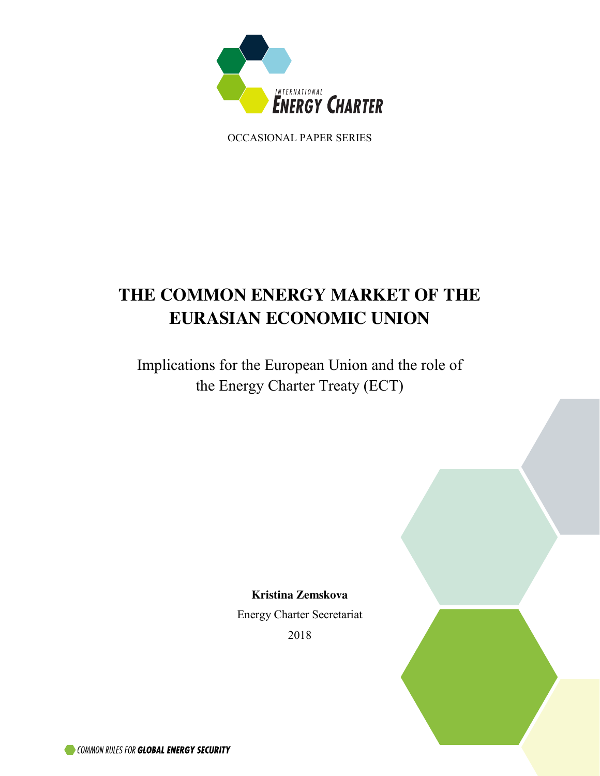

OCCASIONAL PAPER SERIES

# **THE COMMON ENERGY MARKET OF THE EURASIAN ECONOMIC UNION**

Implications for the European Union and the role of the Energy Charter Treaty (ECT)

## **Kristina Zemskova**

Energy Charter Secretariat 2018

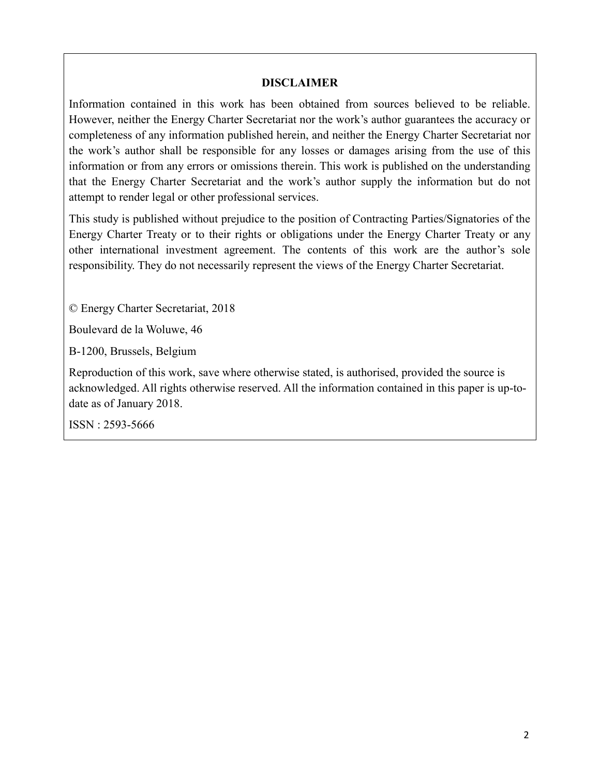## **DISCLAIMER**

Information contained in this work has been obtained from sources believed to be reliable. However, neither the Energy Charter Secretariat nor the work's author guarantees the accuracy or completeness of any information published herein, and neither the Energy Charter Secretariat nor the work's author shall be responsible for any losses or damages arising from the use of this information or from any errors or omissions therein. This work is published on the understanding that the Energy Charter Secretariat and the work's author supply the information but do not attempt to render legal or other professional services.

This study is published without prejudice to the position of Contracting Parties/Signatories of the Energy Charter Treaty or to their rights or obligations under the Energy Charter Treaty or any other international investment agreement. The contents of this work are the author's sole responsibility. They do not necessarily represent the views of the Energy Charter Secretariat.

© Energy Charter Secretariat, 2018

Boulevard de la Woluwe, 46

B-1200, Brussels, Belgium

Reproduction of this work, save where otherwise stated, is authorised, provided the source is acknowledged. All rights otherwise reserved. All the information contained in this paper is up-todate as of January 2018.

ISSN : 2593-5666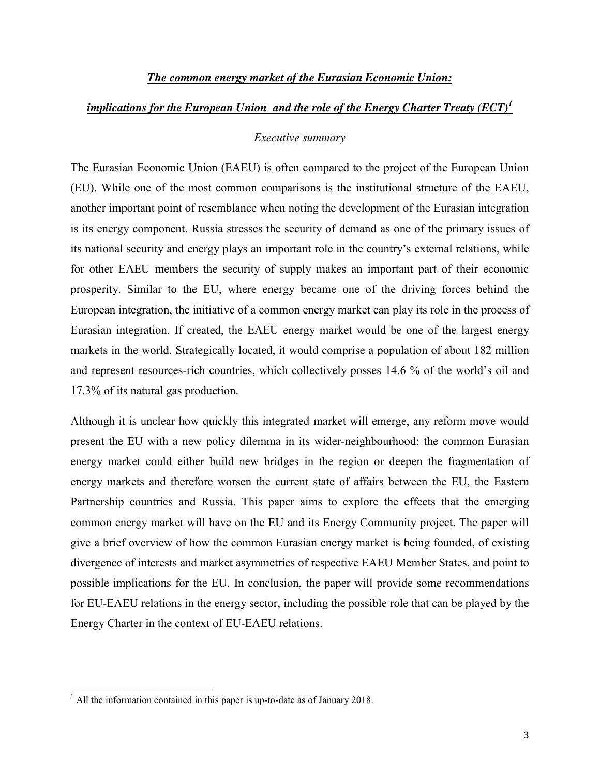## *The common energy market of the Eurasian Economic Union:*

# *implications for the European Union and the role of the Energy Charter Treaty (ECT) 1*

#### *Executive summary*

The Eurasian Economic Union (EAEU) is often compared to the project of the European Union (EU). While one of the most common comparisons is the institutional structure of the EAEU, another important point of resemblance when noting the development of the Eurasian integration is its energy component. Russia stresses the security of demand as one of the primary issues of its national security and energy plays an important role in the country's external relations, while for other EAEU members the security of supply makes an important part of their economic prosperity. Similar to the EU, where energy became one of the driving forces behind the European integration, the initiative of a common energy market can play its role in the process of Eurasian integration. If created, the EAEU energy market would be one of the largest energy markets in the world. Strategically located, it would comprise a population of about 182 million and represent resources-rich countries, which collectively posses 14.6 % of the world's oil and 17.3% of its natural gas production.

Although it is unclear how quickly this integrated market will emerge, any reform move would present the EU with a new policy dilemma in its wider-neighbourhood: the common Eurasian energy market could either build new bridges in the region or deepen the fragmentation of energy markets and therefore worsen the current state of affairs between the EU, the Eastern Partnership countries and Russia. This paper aims to explore the effects that the emerging common energy market will have on the EU and its Energy Community project. The paper will give a brief overview of how the common Eurasian energy market is being founded, of existing divergence of interests and market asymmetries of respective EAEU Member States, and point to possible implications for the EU. In conclusion, the paper will provide some recommendations for EU-EAEU relations in the energy sector, including the possible role that can be played by the Energy Charter in the context of EU-EAEU relations.

 $<sup>1</sup>$  All the information contained in this paper is up-to-date as of January 2018.</sup>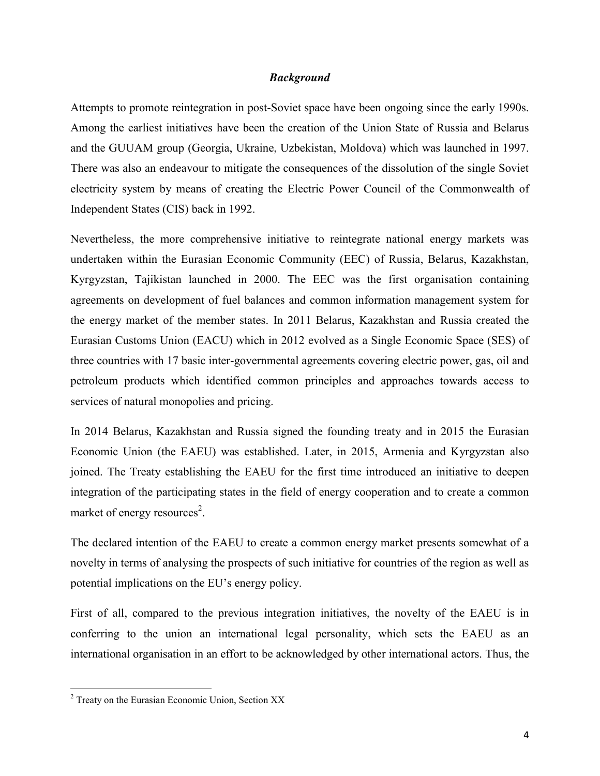## *Background*

Attempts to promote reintegration in post-Soviet space have been ongoing since the early 1990s. Among the earliest initiatives have been the creation of the Union State of Russia and Belarus and the GUUAM group (Georgia, Ukraine, Uzbekistan, Moldova) which was launched in 1997. There was also an endeavour to mitigate the consequences of the dissolution of the single Soviet electricity system by means of creating the Electric Power Council of the Commonwealth of Independent States (CIS) back in 1992.

Nevertheless, the more comprehensive initiative to reintegrate national energy markets was undertaken within the Eurasian Economic Community (EEC) of Russia, Belarus, Kazakhstan, Kyrgyzstan, Tajikistan launched in 2000. The EEC was the first organisation containing agreements on development of fuel balances and common information management system for the energy market of the member states. In 2011 Belarus, Kazakhstan and Russia created the Eurasian Customs Union (EACU) which in 2012 evolved as a Single Economic Space (SES) of three countries with 17 basic inter-governmental agreements covering electric power, gas, oil and petroleum products which identified common principles and approaches towards access to services of natural monopolies and pricing.

In 2014 Belarus, Kazakhstan and Russia signed the founding treaty and in 2015 the Eurasian Economic Union (the EAEU) was established. Later, in 2015, Armenia and Kyrgyzstan also joined. The Treaty establishing the EAEU for the first time introduced an initiative to deepen integration of the participating states in the field of energy cooperation and to create a common market of energy resources<sup>2</sup>.

The declared intention of the EAEU to create a common energy market presents somewhat of a novelty in terms of analysing the prospects of such initiative for countries of the region as well as potential implications on the EU's energy policy.

First of all, compared to the previous integration initiatives, the novelty of the EAEU is in conferring to the union an international legal personality, which sets the EAEU as an international organisation in an effort to be acknowledged by other international actors. Thus, the

<sup>2</sup> Treaty on the Eurasian Economic Union, Section XX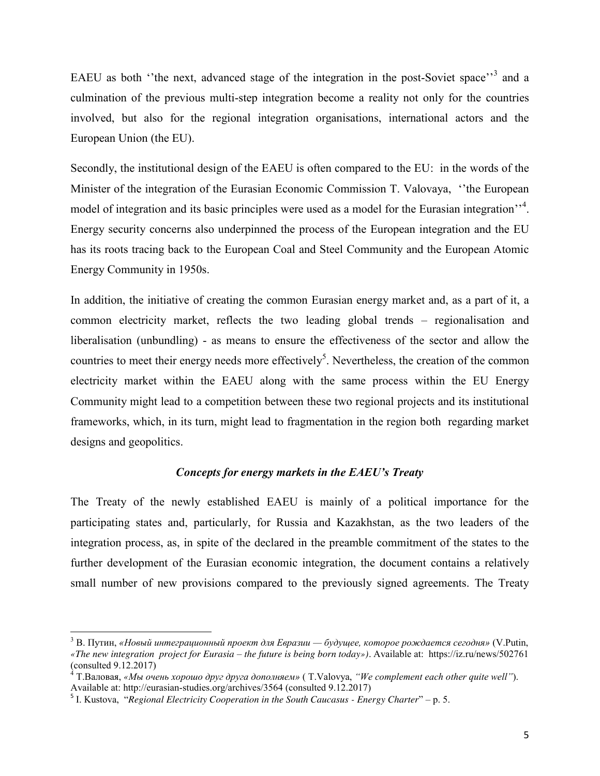EAEU as both "the next, advanced stage of the integration in the post-Soviet space"<sup>3</sup> and a culmination of the previous multi-step integration become a reality not only for the countries involved, but also for the regional integration organisations, international actors and the European Union (the EU).

Secondly, the institutional design of the EAEU is often compared to the EU: in the words of the Minister of the integration of the Eurasian Economic Commission T. Valovaya, ''the European model of integration and its basic principles were used as a model for the Eurasian integration<sup>14</sup>. Energy security concerns also underpinned the process of the European integration and the EU has its roots tracing back to the European Coal and Steel Community and the European Atomic Energy Community in 1950s.

In addition, the initiative of creating the common Eurasian energy market and, as a part of it, a common electricity market, reflects the two leading global trends – regionalisation and liberalisation (unbundling) - as means to ensure the effectiveness of the sector and allow the countries to meet their energy needs more effectively<sup>5</sup>. Nevertheless, the creation of the common electricity market within the EAEU along with the same process within the EU Energy Community might lead to a competition between these two regional projects and its institutional frameworks, which, in its turn, might lead to fragmentation in the region both regarding market designs and geopolitics.

## *Concepts for energy markets in the EAEU's Treaty*

The Treaty of the newly established EAEU is mainly of a political importance for the participating states and, particularly, for Russia and Kazakhstan, as the two leaders of the integration process, as, in spite of the declared in the preamble commitment of the states to the further development of the Eurasian economic integration, the document contains a relatively small number of new provisions compared to the previously signed agreements. The Treaty

<sup>3</sup> В. Путин, *«Новый интеграционный проект для Евразии — будущее, которое рождается сегодня»* (V.Putin, *«The new integration project for Eurasia – the future is being born today»).* Available at: https://iz.ru/news/502761 (consulted 9.12.2017)

<sup>4</sup> Т.Валовая, *«Мы очень хорошо друг друга дополняем»* ( T.Valovya, *"We complement each other quite well"*). Available at: http://eurasian-studies.org/archives/3564 (consulted 9.12.2017)

<sup>5</sup> I. Kustova, "*Regional Electricity Cooperation in the South Caucasus - Energy Charter*" – p. 5.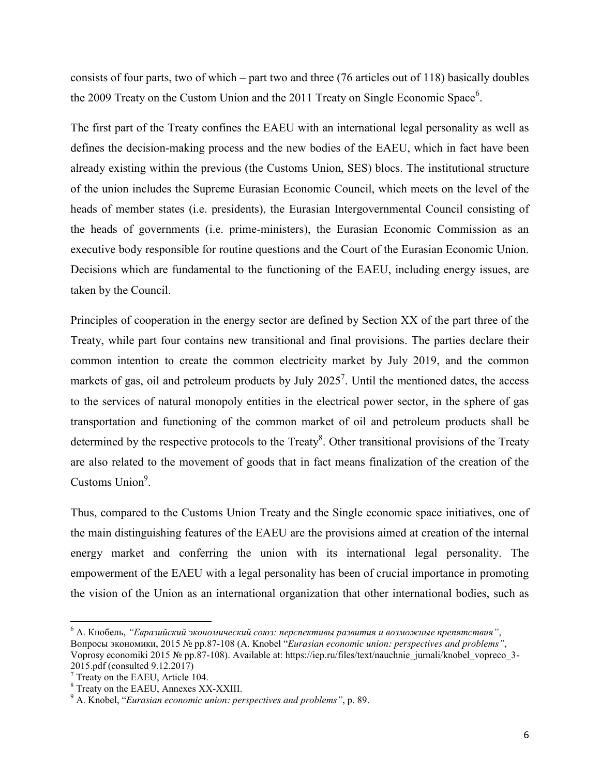consists of four parts, two of which – part two and three (76 articles out of 118) basically doubles the 2009 Treaty on the Custom Union and the 2011 Treaty on Single Economic Space<sup>6</sup>.

The first part of the Treaty confines the EAEU with an international legal personality as well as defines the decision-making process and the new bodies of the EAEU, which in fact have been already existing within the previous (the Customs Union, SES) blocs. The institutional structure of the union includes the Supreme Eurasian Economic Council, which meets on the level of the heads of member states (i.e. presidents), the Eurasian Intergovernmental Council consisting of the heads of governments (i.e. prime-ministers), the Eurasian Economic Commission as an executive body responsible for routine questions and the Court of the Eurasian Economic Union. Decisions which are fundamental to the functioning of the EAEU, including energy issues, are taken by the Council.

Principles of cooperation in the energy sector are defined by Section XX of the part three of the Treaty, while part four contains new transitional and final provisions. The parties declare their common intention to create the common electricity market by July 2019, and the common markets of gas, oil and petroleum products by July  $2025^7$ . Until the mentioned dates, the access to the services of natural monopoly entities in the electrical power sector, in the sphere of gas transportation and functioning of the common market of oil and petroleum products shall be determined by the respective protocols to the Treaty<sup>8</sup>. Other transitional provisions of the Treaty are also related to the movement of goods that in fact means finalization of the creation of the Customs Union<sup>9</sup>.

Thus, compared to the Customs Union Treaty and the Single economic space initiatives, one of the main distinguishing features of the EAEU are the provisions aimed at creation of the internal energy market and conferring the union with its international legal personality. The empowerment of the EAEU with a legal personality has been of crucial importance in promoting the vision of the Union as an international organization that other international bodies, such as

<sup>6</sup> A. Кнобель, *"Евразийский экономический союз: перспективы развития и возможные препятствия"*, Вопросы экономики, 2015 № pp.87-108 (A. Knobel "*Eurasian economic union: perspectives and problems"*, Voprosy economiki 2015 № pp.87-108). Available at: https://iep.ru/files/text/nauchnie\_jurnali/knobel\_vopreco\_3- 2015.pdf (consulted 9.12.2017)

<sup>&</sup>lt;sup>7</sup> Treaty on the EAEU, Article 104.

<sup>8</sup> Treaty on the EAEU, Annexes XX-XXIII. <sup>9</sup> A. Knobel, "*Eurasian economic union: perspectives and problems"*, p. 89.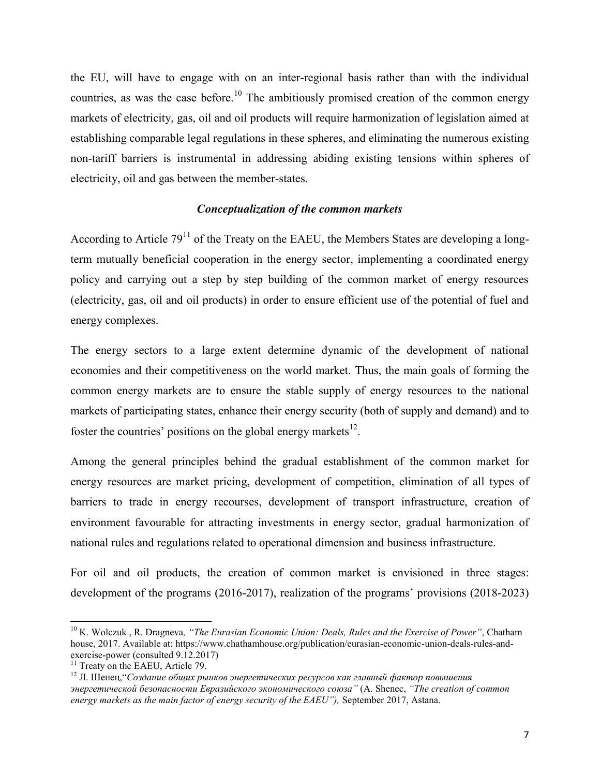the EU, will have to engage with on an inter-regional basis rather than with the individual countries, as was the case before.<sup>10</sup> The ambitiously promised creation of the common energy markets of electricity, gas, oil and oil products will require harmonization of legislation aimed at establishing comparable legal regulations in these spheres, and eliminating the numerous existing non-tariff barriers is instrumental in addressing abiding existing tensions within spheres of electricity, oil and gas between the member-states.

## *Conceptualization of the common markets*

According to Article  $79<sup>11</sup>$  of the Treaty on the EAEU, the Members States are developing a longterm mutually beneficial cooperation in the energy sector, implementing a coordinated energy policy and carrying out a step by step building of the common market of energy resources (electricity, gas, oil and oil products) in order to ensure efficient use of the potential of fuel and energy complexes.

The energy sectors to a large extent determine dynamic of the development of national economies and their competitiveness on the world market. Thus, the main goals of forming the common energy markets are to ensure the stable supply of energy resources to the national markets of participating states, enhance their energy security (both of supply and demand) and to foster the countries' positions on the global energy markets $^{12}$ .

Among the general principles behind the gradual establishment of the common market for energy resources are market pricing, development of competition, elimination of all types of barriers to trade in energy recourses, development of transport infrastructure, creation of environment favourable for attracting investments in energy sector, gradual harmonization of national rules and regulations related to operational dimension and business infrastructure.

For oil and oil products, the creation of common market is envisioned in three stages: development of the programs (2016-2017), realization of the programs' provisions (2018-2023)

<sup>10</sup> K. Wolczuk , R. Dragneva*, "The Eurasian Economic Union: Deals, Rules and the Exercise of Power"*, Chatham house, 2017. Available at: https://www.chathamhouse.org/publication/eurasian-economic-union-deals-rules-andexercise-power (consulted 9.12.2017) <sup>11</sup> Treaty on the EAEU, Article 79. <sup>12</sup> Л. Шенец,"*Создание общих рынков энергетических ресурсов как главный фактор повышения*

*энергетической безопасности Евразийского экономического союза"* (A. Shenec, *"The creation of common energy markets as the main factor of energy security of the EAEU"),* September 2017, Astana.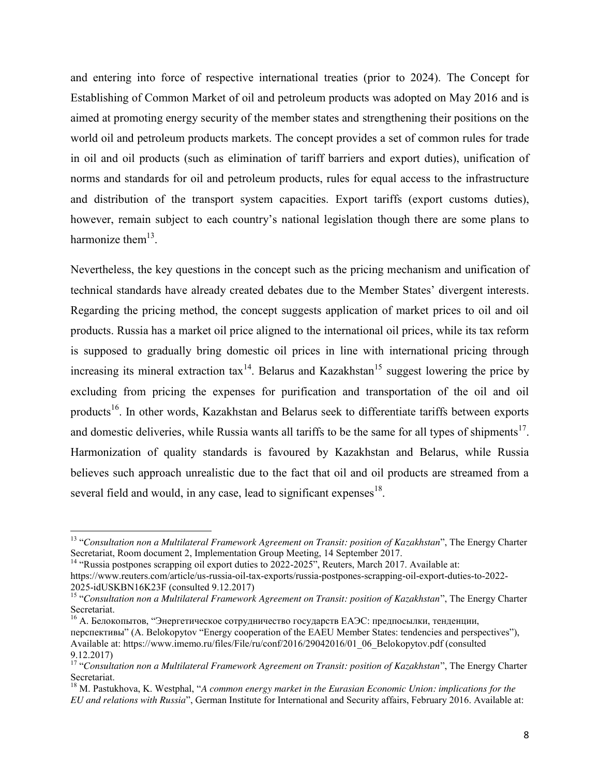and entering into force of respective international treaties (prior to 2024). The Concept for Establishing of Common Market of oil and petroleum products was adopted on May 2016 and is aimed at promoting energy security of the member states and strengthening their positions on the world oil and petroleum products markets. The concept provides a set of common rules for trade in oil and oil products (such as elimination of tariff barriers and export duties), unification of norms and standards for oil and petroleum products, rules for equal access to the infrastructure and distribution of the transport system capacities. Export tariffs (export customs duties), however, remain subject to each country's national legislation though there are some plans to harmonize them $13<sup>13</sup>$ .

Nevertheless, the key questions in the concept such as the pricing mechanism and unification of technical standards have already created debates due to the Member States' divergent interests. Regarding the pricing method, the concept suggests application of market prices to oil and oil products. Russia has a market oil price aligned to the international oil prices, while its tax reform is supposed to gradually bring domestic oil prices in line with international pricing through increasing its mineral extraction  $\text{tax}^{14}$ . Belarus and Kazakhstan<sup>15</sup> suggest lowering the price by excluding from pricing the expenses for purification and transportation of the oil and oil products<sup>16</sup>. In other words, Kazakhstan and Belarus seek to differentiate tariffs between exports and domestic deliveries, while Russia wants all tariffs to be the same for all types of shipments<sup>17</sup>. Harmonization of quality standards is favoured by Kazakhstan and Belarus, while Russia believes such approach unrealistic due to the fact that oil and oil products are streamed from a several field and would, in any case, lead to significant expenses $18$ .

<sup>13</sup> "*Consultation non a Multilateral Framework Agreement on Transit: position of Kazakhstan*", The Energy Charter Secretariat, Room document 2, Implementation Group Meeting, 14 September 2017.

 $14$  "Russia postpones scrapping oil export duties to 2022-2025", Reuters, March 2017. Available at:

https://www.reuters.com/article/us-russia-oil-tax-exports/russia-postpones-scrapping-oil-export-duties-to-2022- 2025-idUSKBN16K23F (consulted 9.12.2017) <sup>15</sup> "*Consultation non a Multilateral Framework Agreement on Transit: position of Kazakhstan*", The Energy Charter

Secretariat.

<sup>16</sup> A. Белокопытов, "Энергетическое сотрудничество государств ЕАЭС: предпосылки, тенденции, перспективы" (A. Belokopytov "Energy cooperation of the EAEU Member States: tendencies and perspectives"), Available at: https://www.imemo.ru/files/File/ru/conf/2016/29042016/01\_06\_Belokopytov.pdf (consulted 9.12.2017)

<sup>17</sup> "*Consultation non a Multilateral Framework Agreement on Transit: position of Kazakhstan*", The Energy Charter Secretariat.

<sup>18</sup> M. Pastukhova, K. Westphal, "*A common energy market in the Eurasian Economic Union: implications for the EU and relations with Russia*", German Institute for International and Security affairs, February 2016. Available at: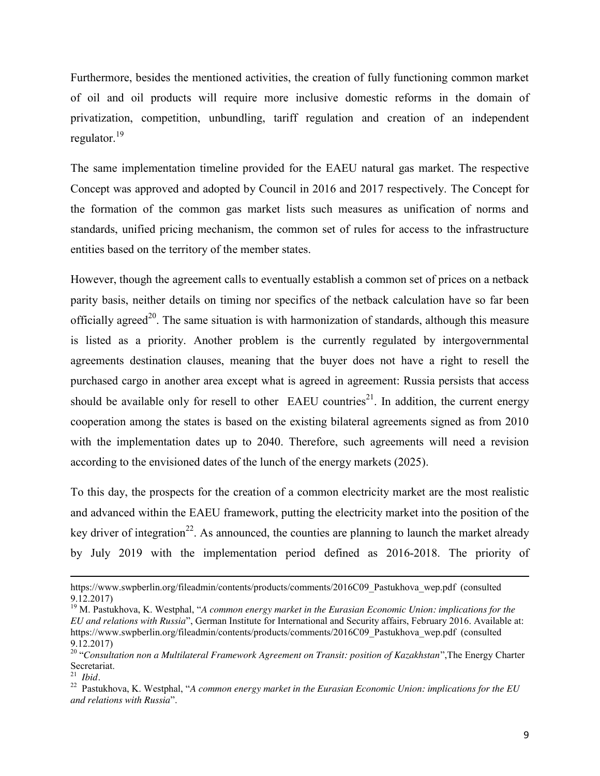Furthermore, besides the mentioned activities, the creation of fully functioning common market of oil and oil products will require more inclusive domestic reforms in the domain of privatization, competition, unbundling, tariff regulation and creation of an independent regulator. $^{19}$ 

The same implementation timeline provided for the EAEU natural gas market. The respective Concept was approved and adopted by Council in 2016 and 2017 respectively. The Concept for the formation of the common gas market lists such measures as unification of norms and standards, unified pricing mechanism, the common set of rules for access to the infrastructure entities based on the territory of the member states.

However, though the agreement calls to eventually establish a common set of prices on a netback parity basis, neither details on timing nor specifics of the netback calculation have so far been officially agreed<sup>20</sup>. The same situation is with harmonization of standards, although this measure is listed as a priority. Another problem is the currently regulated by intergovernmental agreements destination clauses, meaning that the buyer does not have a right to resell the purchased cargo in another area except what is agreed in agreement: Russia persists that access should be available only for resell to other EAEU countries<sup>21</sup>. In addition, the current energy cooperation among the states is based on the existing bilateral agreements signed as from 2010 with the implementation dates up to 2040. Therefore, such agreements will need a revision according to the envisioned dates of the lunch of the energy markets (2025).

To this day, the prospects for the creation of a common electricity market are the most realistic and advanced within the EAEU framework, putting the electricity market into the position of the key driver of integration<sup>22</sup>. As announced, the counties are planning to launch the market already by July 2019 with the implementation period defined as 2016-2018. The priority of

 $\overline{a}$ 

https://www.swpberlin.org/fileadmin/contents/products/comments/2016C09\_Pastukhova\_wep.pdf (consulted 9.12.2017)

<sup>19</sup> M. Pastukhova, K. Westphal, "*A common energy market in the Eurasian Economic Union: implications for the EU and relations with Russia*", German Institute for International and Security affairs, February 2016. Available at: https://www.swpberlin.org/fileadmin/contents/products/comments/2016C09\_Pastukhova\_wep.pdf (consulted 9.12.2017)

<sup>20</sup> "*Consultation non a Multilateral Framework Agreement on Transit: position of Kazakhstan*",The Energy Charter Secretariat.<br><sup>21</sup> Ibid.

<sup>&</sup>lt;sup>22</sup> Pastukhova, K. Westphal, "A common energy market in the Eurasian Economic Union: implications for the EU *and relations with Russia*".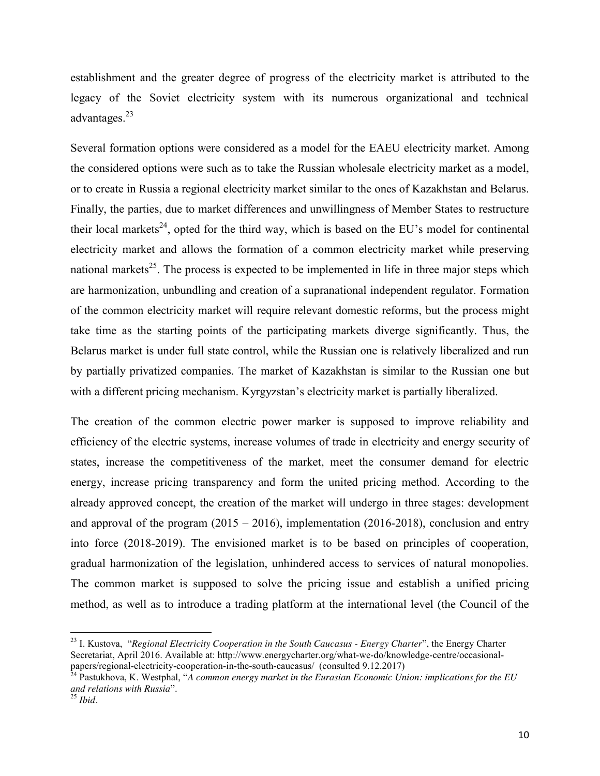establishment and the greater degree of progress of the electricity market is attributed to the legacy of the Soviet electricity system with its numerous organizational and technical advantages.<sup>23</sup>

Several formation options were considered as a model for the EAEU electricity market. Among the considered options were such as to take the Russian wholesale electricity market as a model, or to create in Russia a regional electricity market similar to the ones of Kazakhstan and Belarus. Finally, the parties, due to market differences and unwillingness of Member States to restructure their local markets<sup>24</sup>, opted for the third way, which is based on the EU's model for continental electricity market and allows the formation of a common electricity market while preserving national markets<sup>25</sup>. The process is expected to be implemented in life in three major steps which are harmonization, unbundling and creation of a supranational independent regulator. Formation of the common electricity market will require relevant domestic reforms, but the process might take time as the starting points of the participating markets diverge significantly. Thus, the Belarus market is under full state control, while the Russian one is relatively liberalized and run by partially privatized companies. The market of Kazakhstan is similar to the Russian one but with a different pricing mechanism. Kyrgyzstan's electricity market is partially liberalized.

The creation of the common electric power marker is supposed to improve reliability and efficiency of the electric systems, increase volumes of trade in electricity and energy security of states, increase the competitiveness of the market, meet the consumer demand for electric energy, increase pricing transparency and form the united pricing method. According to the already approved concept, the creation of the market will undergo in three stages: development and approval of the program  $(2015 - 2016)$ , implementation  $(2016 - 2018)$ , conclusion and entry into force (2018-2019). The envisioned market is to be based on principles of cooperation, gradual harmonization of the legislation, unhindered access to services of natural monopolies. The common market is supposed to solve the pricing issue and establish a unified pricing method, as well as to introduce a trading platform at the international level (the Council of the

<sup>23</sup> I. Kustova, "*Regional Electricity Cooperation in the South Caucasus - Energy Charter*", the Energy Charter Secretariat, April 2016. Available at: http://www.energycharter.org/what-we-do/knowledge-centre/occasionalpapers/regional-electricity-cooperation-in-the-south-caucasus/ (consulted 9.12.2017) <sup>24</sup> Pastukhova, K. Westphal, "*A common energy market in the Eurasian Economic Union: implications for the EU* 

*and relations with Russia*". <sup>25</sup> *Ibid.*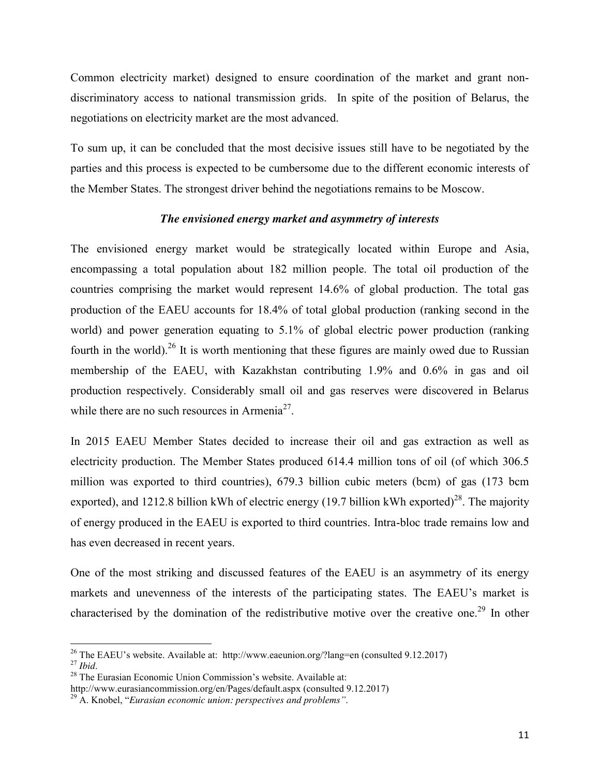Common electricity market) designed to ensure coordination of the market and grant nondiscriminatory access to national transmission grids. In spite of the position of Belarus, the negotiations on electricity market are the most advanced.

To sum up, it can be concluded that the most decisive issues still have to be negotiated by the parties and this process is expected to be cumbersome due to the different economic interests of the Member States. The strongest driver behind the negotiations remains to be Moscow.

## *The envisioned energy market and asymmetry of interests*

The envisioned energy market would be strategically located within Europe and Asia, encompassing a total population about 182 million people. The total oil production of the countries comprising the market would represent 14.6% of global production. The total gas production of the EAEU accounts for 18.4% of total global production (ranking second in the world) and power generation equating to 5.1% of global electric power production (ranking fourth in the world).<sup>26</sup> It is worth mentioning that these figures are mainly owed due to Russian membership of the EAEU, with Kazakhstan contributing 1.9% and 0.6% in gas and oil production respectively. Considerably small oil and gas reserves were discovered in Belarus while there are no such resources in Armenia<sup>27</sup>.

In 2015 EAEU Member States decided to increase their oil and gas extraction as well as electricity production. The Member States produced 614.4 million tons of oil (of which 306.5 million was exported to third countries), 679.3 billion cubic meters (bcm) of gas (173 bcm exported), and 1212.8 billion kWh of electric energy (19.7 billion kWh exported)<sup>28</sup>. The majority of energy produced in the EAEU is exported to third countries. Intra-bloc trade remains low and has even decreased in recent years.

One of the most striking and discussed features of the EAEU is an asymmetry of its energy markets and unevenness of the interests of the participating states. The EAEU's market is characterised by the domination of the redistributive motive over the creative one.<sup>29</sup> In other

<sup>&</sup>lt;sup>26</sup> The EAEU's website. Available at: http://www.eaeunion.org/?lang=en (consulted 9.12.2017) <sup>27</sup> *Ibid.* <sup>28</sup> The Eurasian Economic Union Commission's website. Available at:

http://www.eurasiancommission.org/en/Pages/default.aspx (consulted 9.12.2017)

<sup>29</sup> A. Knobel, "*Eurasian economic union: perspectives and problems"*.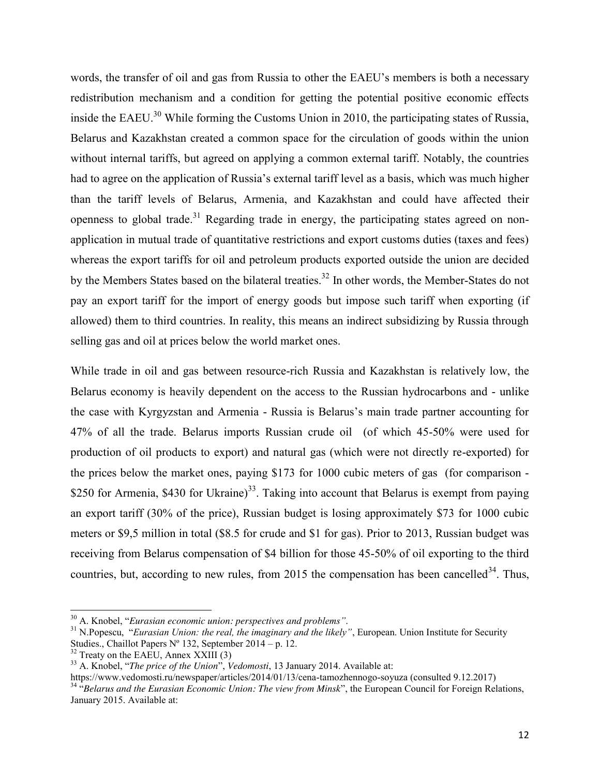words, the transfer of oil and gas from Russia to other the EAEU's members is both a necessary redistribution mechanism and a condition for getting the potential positive economic effects inside the EAEU.<sup>30</sup> While forming the Customs Union in 2010, the participating states of Russia, Belarus and Kazakhstan created a common space for the circulation of goods within the union without internal tariffs, but agreed on applying a common external tariff. Notably, the countries had to agree on the application of Russia's external tariff level as a basis, which was much higher than the tariff levels of Belarus, Armenia, and Kazakhstan and could have affected their openness to global trade.<sup>31</sup> Regarding trade in energy, the participating states agreed on nonapplication in mutual trade of quantitative restrictions and export customs duties (taxes and fees) whereas the export tariffs for oil and petroleum products exported outside the union are decided by the Members States based on the bilateral treaties.<sup>32</sup> In other words, the Member-States do not pay an export tariff for the import of energy goods but impose such tariff when exporting (if allowed) them to third countries. In reality, this means an indirect subsidizing by Russia through selling gas and oil at prices below the world market ones.

While trade in oil and gas between resource-rich Russia and Kazakhstan is relatively low, the Belarus economy is heavily dependent on the access to the Russian hydrocarbons and - unlike the case with Kyrgyzstan and Armenia - Russia is Belarus's main trade partner accounting for 47% of all the trade. Belarus imports Russian crude oil (of which 45-50% were used for production of oil products to export) and natural gas (which were not directly re-exported) for the prices below the market ones, paying \$173 for 1000 cubic meters of gas (for comparison - \$250 for Armenia, \$430 for Ukraine)<sup>33</sup>. Taking into account that Belarus is exempt from paying an export tariff (30% of the price), Russian budget is losing approximately \$73 for 1000 cubic meters or \$9,5 million in total (\$8.5 for crude and \$1 for gas). Prior to 2013, Russian budget was receiving from Belarus compensation of \$4 billion for those 45-50% of oil exporting to the third countries, but, according to new rules, from 2015 the compensation has been cancelled<sup>34</sup>. Thus,

<sup>&</sup>lt;sup>30</sup> A. Knobel, "*Eurasian economic union: perspectives and problems*".<br><sup>31</sup> N.Popescu, "*Eurasian Union: the real, the imaginary and the likely*", European. Union Institute for Security<br>Studies., Chaillot Papers N° 132, S

<sup>&</sup>lt;sup>32</sup> Treaty on the EAEU, Annex XXIII (3)<br><sup>33</sup> A. Knobel, "*The price of the Union*", *Vedomosti*, 13 January 2014. Available at:<br>https://www.vedomosti.ru/newspaper/articles/2014/01/13/cena-tamozhennogo-soyuza (consulted 9.

<sup>&</sup>lt;sup>34</sup> "Belarus and the Eurasian Economic Union: The view from Minsk", the European Council for Foreign Relations, January 2015. Available at: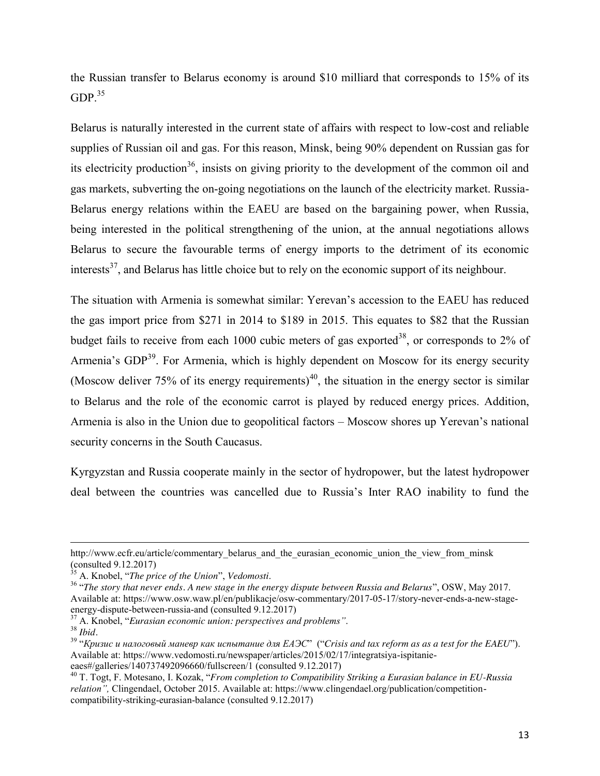the Russian transfer to Belarus economy is around \$10 milliard that corresponds to 15% of its  $GDP.<sup>35</sup>$ 

Belarus is naturally interested in the current state of affairs with respect to low-cost and reliable supplies of Russian oil and gas. For this reason, Minsk, being 90% dependent on Russian gas for its electricity production<sup>36</sup>, insists on giving priority to the development of the common oil and gas markets, subverting the on-going negotiations on the launch of the electricity market. Russia-Belarus energy relations within the EAEU are based on the bargaining power, when Russia, being interested in the political strengthening of the union, at the annual negotiations allows Belarus to secure the favourable terms of energy imports to the detriment of its economic interests $37$ , and Belarus has little choice but to rely on the economic support of its neighbour.

The situation with Armenia is somewhat similar: Yerevan's accession to the EAEU has reduced the gas import price from \$271 in 2014 to \$189 in 2015. This equates to \$82 that the Russian budget fails to receive from each 1000 cubic meters of gas exported<sup>38</sup>, or corresponds to 2% of Armenia's  $GDP<sup>39</sup>$ . For Armenia, which is highly dependent on Moscow for its energy security (Moscow deliver 75% of its energy requirements)<sup>40</sup>, the situation in the energy sector is similar to Belarus and the role of the economic carrot is played by reduced energy prices. Addition, Armenia is also in the Union due to geopolitical factors – Moscow shores up Yerevan's national security concerns in the South Caucasus.

Kyrgyzstan and Russia cooperate mainly in the sector of hydropower, but the latest hydropower deal between the countries was cancelled due to Russia's Inter RAO inability to fund the

 $\overline{a}$ 

http://www.ecfr.eu/article/commentary\_belarus\_and\_the\_eurasian\_economic\_union\_the\_view\_from\_minsk<br>(consulted 9.12.2017)

<sup>&</sup>lt;sup>35</sup> A. Knobel, "*The price of the Union*", *Vedomosti*.<br><sup>36</sup> "*The story that never ends. A new stage in the energy dispute between Russia and Belarus*", OSW, May 2017. Available at: https://www.osw.waw.pl/en/publikacje/osw-commentary/2017-05-17/story-never-ends-a-new-stage-energy-dispute-between-russia-and (consulted 9.12.2017)

<sup>&</sup>lt;sup>37</sup> A. Knobel, "Eurasian economic union: perspectives and problems".<br><sup>38</sup> Ibid.<br><sup>39</sup> "Кризис и налоговый маневр как испытание для EAЭC" ("Crisis and tax reform as as a test for the EAEU"). Available at: https://www.vedomosti.ru/newspaper/articles/2015/02/17/integratsiya-ispitanieeaes#/galleries/140737492096660/fullscreen/1 (consulted 9.12.2017)

<sup>40</sup> T. Togt, F. Motesano, I. Kozak, "*From completion to Compatibility Striking a Eurasian balance in EU-Russia relation",* Clingendael, October 2015. Available at: https://www.clingendael.org/publication/competitioncompatibility-striking-eurasian-balance (consulted 9.12.2017)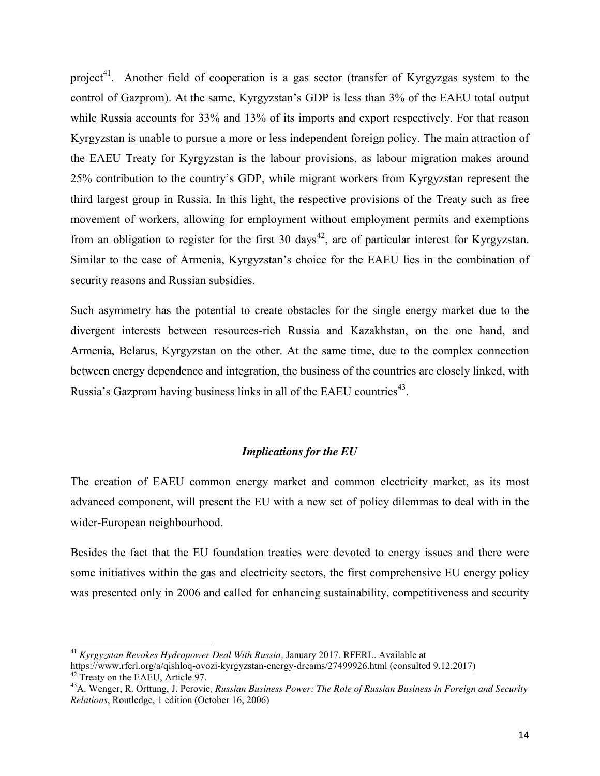project<sup>41</sup>. Another field of cooperation is a gas sector (transfer of Kyrgyzgas system to the control of Gazprom). At the same, Kyrgyzstan's GDP is less than 3% of the EAEU total output while Russia accounts for 33% and 13% of its imports and export respectively. For that reason Kyrgyzstan is unable to pursue a more or less independent foreign policy. The main attraction of the EAEU Treaty for Kyrgyzstan is the labour provisions, as labour migration makes around 25% contribution to the country's GDP, while migrant workers from Kyrgyzstan represent the third largest group in Russia. In this light, the respective provisions of the Treaty such as free movement of workers, allowing for employment without employment permits and exemptions from an obligation to register for the first 30 days<sup>42</sup>, are of particular interest for Kyrgyzstan. Similar to the case of Armenia, Kyrgyzstan's choice for the EAEU lies in the combination of security reasons and Russian subsidies.

Such asymmetry has the potential to create obstacles for the single energy market due to the divergent interests between resources-rich Russia and Kazakhstan, on the one hand, and Armenia, Belarus, Kyrgyzstan on the other. At the same time, due to the complex connection between energy dependence and integration, the business of the countries are closely linked, with Russia's Gazprom having business links in all of the EAEU countries<sup>43</sup>.

## *Implications for the EU*

The creation of EAEU common energy market and common electricity market, as its most advanced component, will present the EU with a new set of policy dilemmas to deal with in the wider-European neighbourhood.

Besides the fact that the EU foundation treaties were devoted to energy issues and there were some initiatives within the gas and electricity sectors, the first comprehensive EU energy policy was presented only in 2006 and called for enhancing sustainability, competitiveness and security

<sup>&</sup>lt;sup>41</sup> *Kyrgyzstan Revokes Hydropower Deal With Russia, January 2017. RFERL. Available at* https://www.rferl.org/a/qishloq-ovozi-kyrgyzstan-energy-dreams/27499926.html (consulted 9.12.2017)

 $^{42}$  Treaty on the EAEU, Article 97.<br> $^{43}$ A. Wenger, R. Orttung, J. Perovic, Russian Business Power: The Role of Russian Business in Foreign and Security

*Relations*, Routledge, 1 edition (October 16, 2006)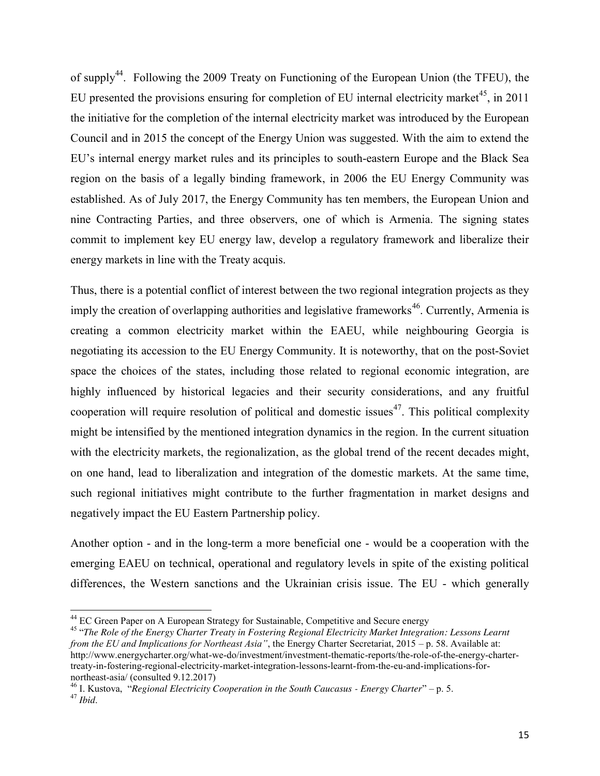of supply<sup>44</sup>. Following the 2009 Treaty on Functioning of the European Union (the TFEU), the EU presented the provisions ensuring for completion of EU internal electricity market<sup>45</sup>, in 2011 the initiative for the completion of the internal electricity market was introduced by the European Council and in 2015 the concept of the Energy Union was suggested. With the aim to extend the EU's internal energy market rules and its principles to south-eastern Europe and the Black Sea region on the basis of a legally binding framework, in 2006 the EU Energy Community was established. As of July 2017, the Energy Community has ten members, the European Union and nine Contracting Parties, and three observers, one of which is Armenia. The signing states commit to implement key EU energy law, develop a regulatory framework and liberalize their energy markets in line with the Treaty acquis.

Thus, there is a potential conflict of interest between the two regional integration projects as they imply the creation of overlapping authorities and legislative frameworks<sup>46</sup>. Currently, Armenia is creating a common electricity market within the EAEU, while neighbouring Georgia is negotiating its accession to the EU Energy Community. It is noteworthy, that on the post-Soviet space the choices of the states, including those related to regional economic integration, are highly influenced by historical legacies and their security considerations, and any fruitful cooperation will require resolution of political and domestic issues<sup>47</sup>. This political complexity might be intensified by the mentioned integration dynamics in the region. In the current situation with the electricity markets, the regionalization, as the global trend of the recent decades might, on one hand, lead to liberalization and integration of the domestic markets. At the same time, such regional initiatives might contribute to the further fragmentation in market designs and negatively impact the EU Eastern Partnership policy.

Another option - and in the long-term a more beneficial one - would be a cooperation with the emerging EAEU on technical, operational and regulatory levels in spite of the existing political differences, the Western sanctions and the Ukrainian crisis issue. The EU - which generally

<sup>&</sup>lt;sup>44</sup> EC Green Paper on A European Strategy for Sustainable, Competitive and Secure energy<br><sup>45</sup> "The Role of the Energy Charter Treaty in Fostering Regional Electricity Market Integration: Lessons Learnt *from the EU and Implications for Northeast Asia"*, the Energy Charter Secretariat, 2015 – p. 58. Available at: http://www.energycharter.org/what-we-do/investment/investment-thematic-reports/the-role-of-the-energy-chartertreaty-in-fostering-regional-electricity-market-integration-lessons-learnt-from-the-eu-and-implications-for-

northeast-asia/ (consulted 9.12.2017)<br><sup>46</sup> I. Kustova, *"Regional Electricity Cooperation in the South Caucasus - Energy Charter" – p. 5.*<br><sup>47</sup> *Ibid.*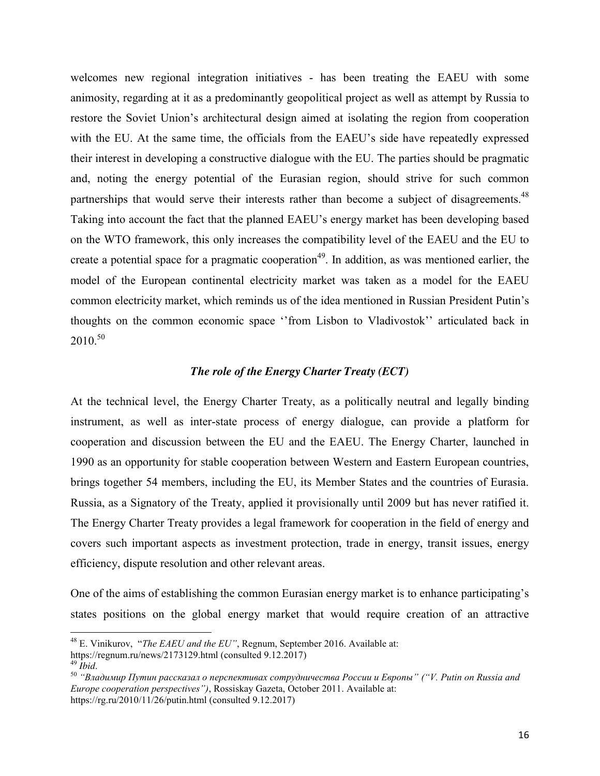welcomes new regional integration initiatives - has been treating the EAEU with some animosity, regarding at it as a predominantly geopolitical project as well as attempt by Russia to restore the Soviet Union's architectural design aimed at isolating the region from cooperation with the EU. At the same time, the officials from the EAEU's side have repeatedly expressed their interest in developing a constructive dialogue with the EU. The parties should be pragmatic and, noting the energy potential of the Eurasian region, should strive for such common partnerships that would serve their interests rather than become a subject of disagreements.<sup>48</sup> Taking into account the fact that the planned EAEU's energy market has been developing based on the WTO framework, this only increases the compatibility level of the EAEU and the EU to create a potential space for a pragmatic cooperation<sup>49</sup>. In addition, as was mentioned earlier, the model of the European continental electricity market was taken as a model for the EAEU common electricity market, which reminds us of the idea mentioned in Russian President Putin's thoughts on the common economic space ''from Lisbon to Vladivostok'' articulated back in  $2010.<sup>50</sup>$ 

## *The role of the Energy Charter Treaty (ECT)*

At the technical level, the Energy Charter Treaty, as a politically neutral and legally binding instrument, as well as inter-state process of energy dialogue, can provide a platform for cooperation and discussion between the EU and the EAEU. The Energy Charter, launched in 1990 as an opportunity for stable cooperation between Western and Eastern European countries, brings together 54 members, including the EU, its Member States and the countries of Eurasia. Russia, as a Signatory of the Treaty, applied it provisionally until 2009 but has never ratified it. The Energy Charter Treaty provides a legal framework for cooperation in the field of energy and covers such important aspects as investment protection, trade in energy, transit issues, energy efficiency, dispute resolution and other relevant areas.

One of the aims of establishing the common Eurasian energy market is to enhance participating's states positions on the global energy market that would require creation of an attractive

<sup>48</sup> E. Vinikurov, "*The EAEU and the EU"*, Regnum, September 2016. Available at: https://regnum.ru/news/2173129.html (consulted 9.12.2017)<br><sup>49</sup> Ibid.

<sup>49</sup> *Ibid*. 50 *"Владимир Путин рассказал о перспективах сотрудничества России и Европы" ("V. Putin on Russia and Europe cooperation perspectives")*, Rossiskay Gazeta, October 2011. Available at: https://rg.ru/2010/11/26/putin.html (consulted 9.12.2017)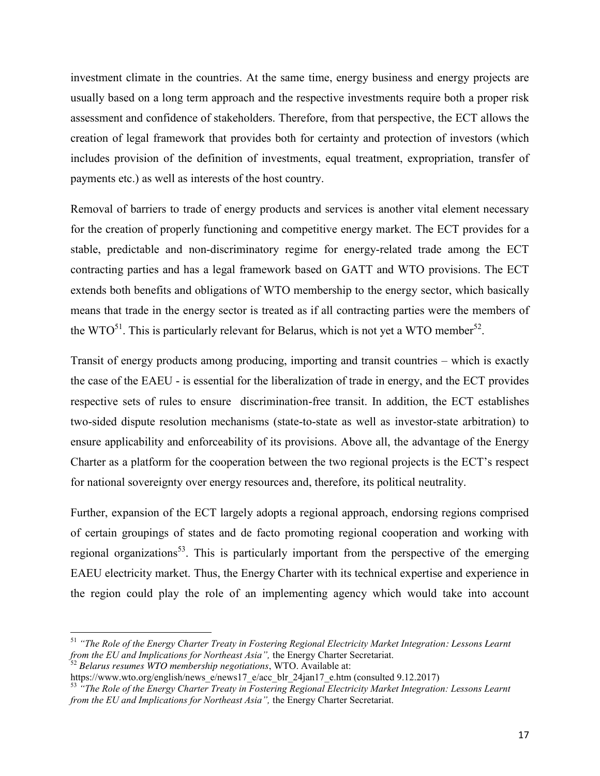investment climate in the countries. At the same time, energy business and energy projects are usually based on a long term approach and the respective investments require both a proper risk assessment and confidence of stakeholders. Therefore, from that perspective, the ECT allows the creation of legal framework that provides both for certainty and protection of investors (which includes provision of the definition of investments, equal treatment, expropriation, transfer of payments etc.) as well as interests of the host country.

Removal of barriers to trade of energy products and services is another vital element necessary for the creation of properly functioning and competitive energy market. The ECT provides for a stable, predictable and non-discriminatory regime for energy-related trade among the ECT contracting parties and has a legal framework based on GATT and WTO provisions. The ECT extends both benefits and obligations of WTO membership to the energy sector, which basically means that trade in the energy sector is treated as if all contracting parties were the members of the WTO<sup>51</sup>. This is particularly relevant for Belarus, which is not yet a WTO member  $52$ .

Transit of energy products among producing, importing and transit countries – which is exactly the case of the EAEU - is essential for the liberalization of trade in energy, and the ECT provides respective sets of rules to ensure discrimination-free transit. In addition, the ECT establishes two-sided dispute resolution mechanisms (state-to-state as well as investor-state arbitration) to ensure applicability and enforceability of its provisions. Above all, the advantage of the Energy Charter as a platform for the cooperation between the two regional projects is the ECT's respect for national sovereignty over energy resources and, therefore, its political neutrality.

Further, expansion of the ECT largely adopts a regional approach, endorsing regions comprised of certain groupings of states and de facto promoting regional cooperation and working with regional organizations<sup>53</sup>. This is particularly important from the perspective of the emerging EAEU electricity market. Thus, the Energy Charter with its technical expertise and experience in the region could play the role of an implementing agency which would take into account

<sup>&</sup>lt;sup>51</sup> "The Role of the Energy Charter Treaty in Fostering Regional Electricity Market Integration: Lessons Learnt *from the EU and Implications for Northeast Asia",* the Energy Charter Secretariat. 52 *Belarus resumes WTO membership negotiations*, WTO. Available at:

https://www.wto.org/english/news\_e/news17\_e/acc\_blr\_24jan17\_e.htm (consulted 9.12.2017)

<sup>53</sup> *"The Role of the Energy Charter Treaty in Fostering Regional Electricity Market Integration: Lessons Learnt from the EU and Implications for Northeast Asia",* the Energy Charter Secretariat.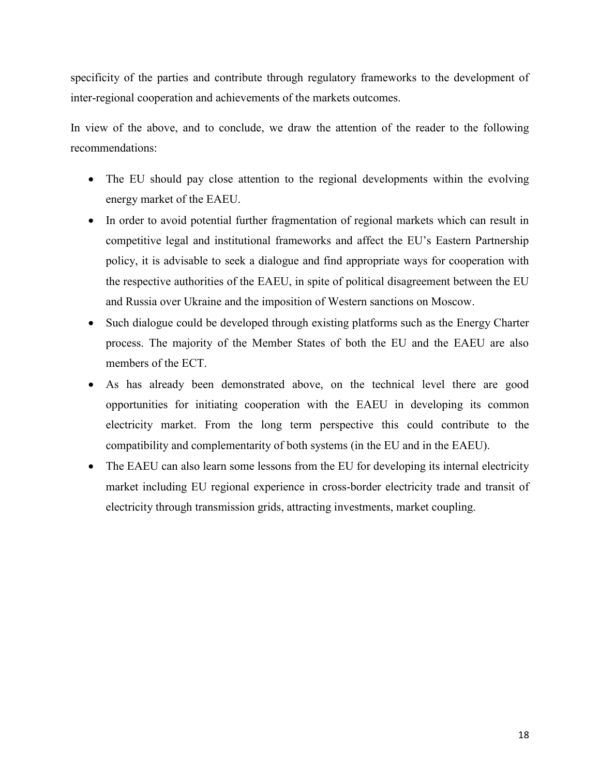specificity of the parties and contribute through regulatory frameworks to the development of inter-regional cooperation and achievements of the markets outcomes.

In view of the above, and to conclude, we draw the attention of the reader to the following recommendations:

- The EU should pay close attention to the regional developments within the evolving energy market of the EAEU.
- In order to avoid potential further fragmentation of regional markets which can result in competitive legal and institutional frameworks and affect the EU's Eastern Partnership policy, it is advisable to seek a dialogue and find appropriate ways for cooperation with the respective authorities of the EAEU, in spite of political disagreement between the EU and Russia over Ukraine and the imposition of Western sanctions on Moscow.
- Such dialogue could be developed through existing platforms such as the Energy Charter process. The majority of the Member States of both the EU and the EAEU are also members of the ECT.
- As has already been demonstrated above, on the technical level there are good opportunities for initiating cooperation with the EAEU in developing its common electricity market. From the long term perspective this could contribute to the compatibility and complementarity of both systems (in the EU and in the EAEU).
- The EAEU can also learn some lessons from the EU for developing its internal electricity market including EU regional experience in cross-border electricity trade and transit of electricity through transmission grids, attracting investments, market coupling.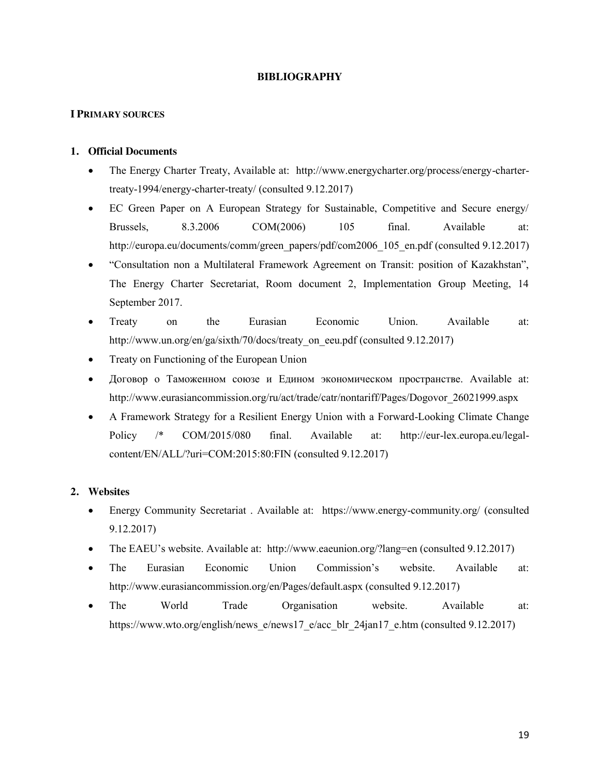### **BIBLIOGRAPHY**

#### **I PRIMARY SOURCES**

#### **1. Official Documents**

- x The Energy Charter Treaty, Available at: http://www.energycharter.org/process/energy-chartertreaty-1994/energy-charter-treaty/ (consulted 9.12.2017)
- EC Green Paper on A European Strategy for Sustainable, Competitive and Secure energy/ Brussels, 8.3.2006 COM(2006) 105 final. Available at: http://europa.eu/documents/comm/green\_papers/pdf/com2006\_105\_en.pdf (consulted 9.12.2017)
- x "Consultation non a Multilateral Framework Agreement on Transit: position of Kazakhstan", The Energy Charter Secretariat, Room document 2, Implementation Group Meeting, 14 September 2017.
- Treaty on the Eurasian Economic Union. Available at: http://www.un.org/en/ga/sixth/70/docs/treaty\_on\_eeu.pdf (consulted 9.12.2017)
- Treaty on Functioning of the European Union
- Договор о Таможенном союзе и Едином экономическом пространстве. Available at: http://www.eurasiancommission.org/ru/act/trade/catr/nontariff/Pages/Dogovor\_26021999.aspx
- A Framework Strategy for a Resilient Energy Union with a Forward-Looking Climate Change Policy /\* COM/2015/080 final. Available at: http://eur-lex.europa.eu/legalcontent/EN/ALL/?uri=COM:2015:80:FIN (consulted 9.12.2017)

## **2. Websites**

- Energy Community Secretariat . Available at: https://www.energy-community.org/ (consulted 9.12.2017)
- The EAEU's website. Available at: http://www.eaeunion.org/?lang=en (consulted 9.12.2017)
- The Eurasian Economic Union Commission's website. Available at: http://www.eurasiancommission.org/en/Pages/default.aspx (consulted 9.12.2017)
- The World Trade Organisation website. Available at: https://www.wto.org/english/news\_e/news17\_e/acc\_blr\_24jan17\_e.htm (consulted 9.12.2017)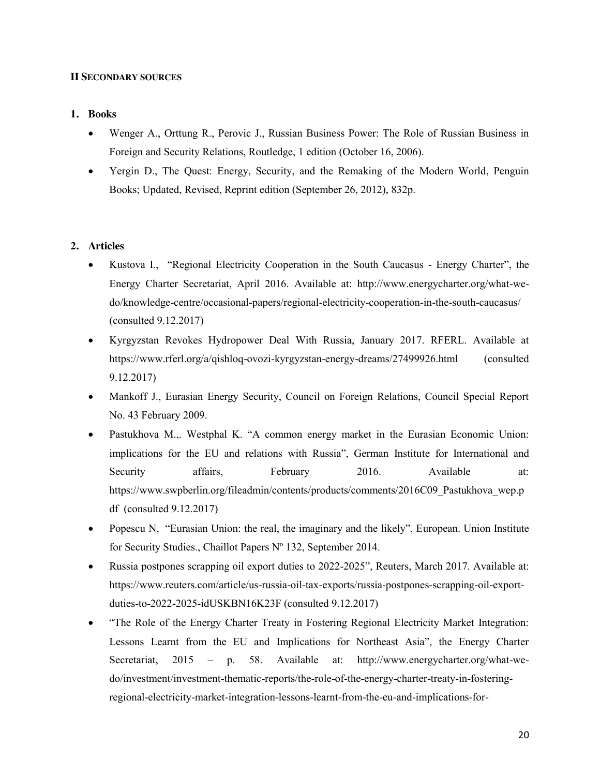### **II SECONDARY SOURCES**

## **1. Books**

- x Wenger A., Orttung R., Perovic J., Russian Business Power: The Role of Russian Business in Foreign and Security Relations, Routledge, 1 edition (October 16, 2006).
- x Yergin D., The Quest: Energy, Security, and the Remaking of the Modern World, Penguin Books; Updated, Revised, Reprint edition (September 26, 2012), 832p.

## **2. Articles**

- x Kustova I., "Regional Electricity Cooperation in the South Caucasus Energy Charter", the Energy Charter Secretariat, April 2016. Available at: http://www.energycharter.org/what-wedo/knowledge-centre/occasional-papers/regional-electricity-cooperation-in-the-south-caucasus/ (consulted 9.12.2017)
- x Kyrgyzstan Revokes Hydropower Deal With Russia, January 2017. RFERL. Available at https://www.rferl.org/a/qishloq-ovozi-kyrgyzstan-energy-dreams/27499926.html (consulted 9.12.2017)
- Mankoff J., Eurasian Energy Security, Council on Foreign Relations, Council Special Report No. 43 February 2009.
- Pastukhova M.,. Westphal K. "A common energy market in the Eurasian Economic Union: implications for the EU and relations with Russia", German Institute for International and Security affairs, February 2016. Available at: https://www.swpberlin.org/fileadmin/contents/products/comments/2016C09\_Pastukhova\_wep.p df (consulted 9.12.2017)
- Popescu N, "Eurasian Union: the real, the imaginary and the likely", European. Union Institute for Security Studies., Chaillot Papers Nº 132, September 2014.
- Russia postpones scrapping oil export duties to 2022-2025", Reuters, March 2017. Available at: https://www.reuters.com/article/us-russia-oil-tax-exports/russia-postpones-scrapping-oil-exportduties-to-2022-2025-idUSKBN16K23F (consulted 9.12.2017)
- "The Role of the Energy Charter Treaty in Fostering Regional Electricity Market Integration: Lessons Learnt from the EU and Implications for Northeast Asia", the Energy Charter Secretariat, 2015 – p. 58. Available at: http://www.energycharter.org/what-wedo/investment/investment-thematic-reports/the-role-of-the-energy-charter-treaty-in-fosteringregional-electricity-market-integration-lessons-learnt-from-the-eu-and-implications-for-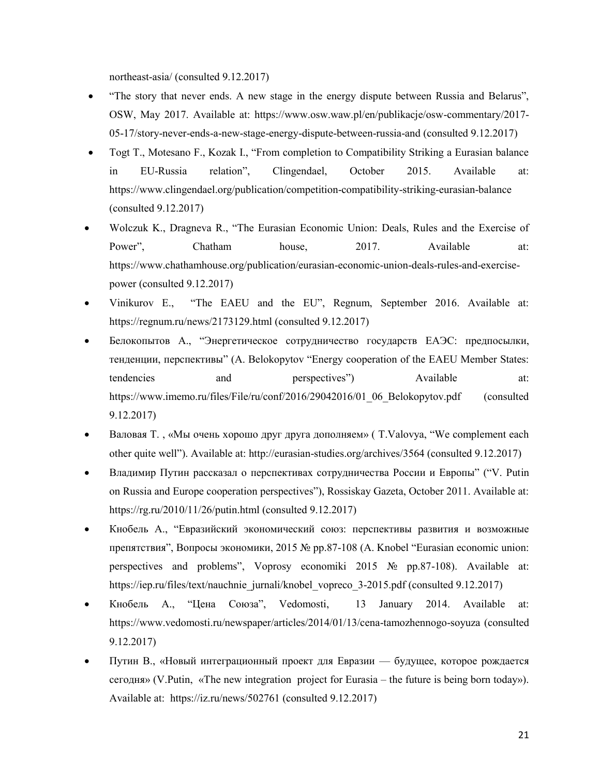northeast-asia/ (consulted 9.12.2017)

- "The story that never ends. A new stage in the energy dispute between Russia and Belarus", OSW, May 2017. Available at: https://www.osw.waw.pl/en/publikacje/osw-commentary/2017- 05-17/story-never-ends-a-new-stage-energy-dispute-between-russia-and (consulted 9.12.2017)
- Togt T., Motesano F., Kozak I., "From completion to Compatibility Striking a Eurasian balance in EU-Russia relation", Clingendael, October 2015. Available at: https://www.clingendael.org/publication/competition-compatibility-striking-eurasian-balance (consulted 9.12.2017)
- x Wolczuk K., Dragneva R., "The Eurasian Economic Union: Deals, Rules and the Exercise of Power", Chatham house, 2017. Available at: https://www.chathamhouse.org/publication/eurasian-economic-union-deals-rules-and-exercisepower (consulted 9.12.2017)
- x Vinikurov E., "The EAEU and the EU", Regnum, September 2016. Available at: https://regnum.ru/news/2173129.html (consulted 9.12.2017)
- x Белокопытов A., "Энергетическое сотрудничество государств ЕАЭС: предпосылки, тенденции, перспективы" (A. Belokopytov "Energy cooperation of the EAEU Member States: tendencies and perspectives") Available at: https://www.imemo.ru/files/File/ru/conf/2016/29042016/01\_06\_Belokopytov.pdf (consulted 9.12.2017)
- x Валовая Т. , «Мы очень хорошо друг друга дополняем» ( T.Valovya, "We complement each other quite well"). Available at: http://eurasian-studies.org/archives/3564 (consulted 9.12.2017)
- Владимир Путин рассказал о перспективах сотрудничества России и Европы" ("V. Putin on Russia and Europe cooperation perspectives"), Rossiskay Gazeta, October 2011. Available at: https://rg.ru/2010/11/26/putin.html (consulted 9.12.2017)
- Кнобель А., "Евразийский экономический союз: перспективы развития и возможные препятствия", Вопросы экономики, 2015 № pp.87-108 (A. Knobel "Eurasian economic union: perspectives and problems", Voprosy economiki 2015 № pp.87-108). Available at: https://iep.ru/files/text/nauchnie\_jurnali/knobel\_vopreco\_3-2015.pdf (consulted 9.12.2017)
- x Кнобель A., "Цена Союза", Vedomosti, 13 January 2014. Available at: https://www.vedomosti.ru/newspaper/articles/2014/01/13/cena-tamozhennogo-soyuza (consulted 9.12.2017)
- Путин В., «Новый интеграционный проект для Евразии будущее, которое рождается сегодня» (V.Putin, «The new integration project for Eurasia – the future is being born today»). Available at: https://iz.ru/news/502761 (consulted 9.12.2017)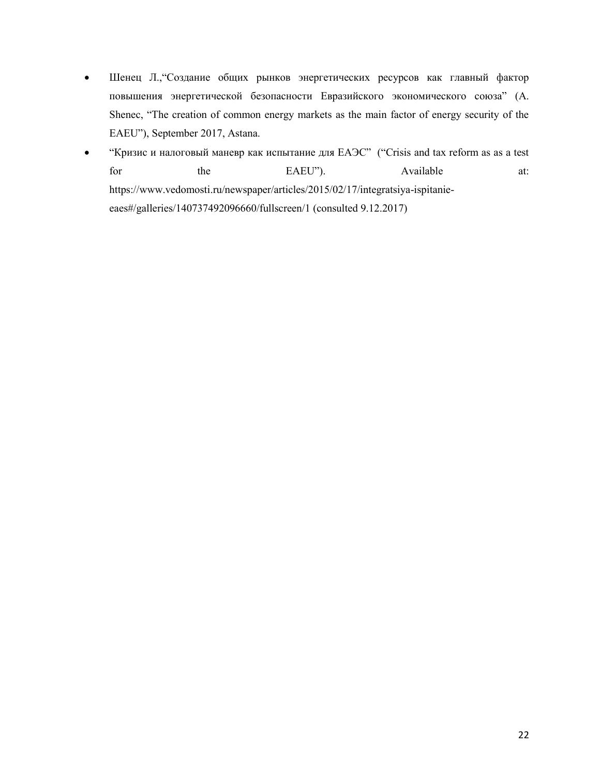- Шенец Л., "Создание общих рынков энергетических ресурсов как главный фактор повышения энергетической безопасности Евразийского экономического союза" (A. Shenec, "The creation of common energy markets as the main factor of energy security of the EAEU"), September 2017, Astana.
- "Кризис и налоговый маневр как испытание для ЕАЭС" ("Crisis and tax reform as as a test for the EAEU"). Available at: https://www.vedomosti.ru/newspaper/articles/2015/02/17/integratsiya-ispitanieeaes#/galleries/140737492096660/fullscreen/1 (consulted 9.12.2017)